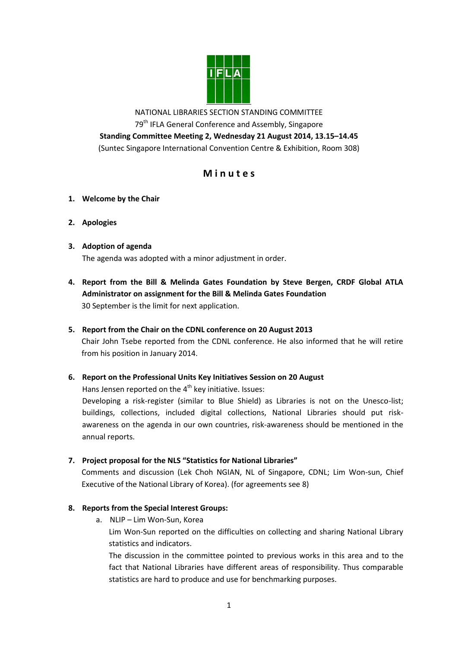

NATIONAL LIBRARIES SECTION STANDING COMMITTEE 79<sup>th</sup> IFLA General Conference and Assembly, Singapore **Standing Committee Meeting 2, Wednesday 21 August 2014, 13.15–14.45** (Suntec Singapore International Convention Centre & Exhibition, Room 308)

# **M i n u t e s**

- **1. Welcome by the Chair**
- **2. Apologies**
- **3. Adoption of agenda**

The agenda was adopted with a minor adjustment in order.

- **4. Report from the Bill & Melinda Gates Foundation by Steve Bergen, CRDF Global ATLA Administrator on assignment for the Bill & Melinda Gates Foundation** 30 September is the limit for next application.
- **5. Report from the Chair on the CDNL conference on 20 August 2013**

Chair John Tsebe reported from the CDNL conference. He also informed that he will retire from his position in January 2014.

**6. Report on the Professional Units Key Initiatives Session on 20 August**

Hans Jensen reported on the 4<sup>th</sup> key initiative. Issues:

Developing a risk-register (similar to Blue Shield) as Libraries is not on the Unesco-list; buildings, collections, included digital collections, National Libraries should put riskawareness on the agenda in our own countries, risk-awareness should be mentioned in the annual reports.

**7. Project proposal for the NLS "Statistics for National Libraries"**

Comments and discussion (Lek Choh NGIAN, NL of Singapore, CDNL; Lim Won-sun, Chief Executive of the National Library of Korea). (for agreements see 8)

## **8. Reports from the Special Interest Groups:**

a. NLIP – Lim Won-Sun, Korea

Lim Won-Sun reported on the difficulties on collecting and sharing National Library statistics and indicators.

The discussion in the committee pointed to previous works in this area and to the fact that National Libraries have different areas of responsibility. Thus comparable statistics are hard to produce and use for benchmarking purposes.